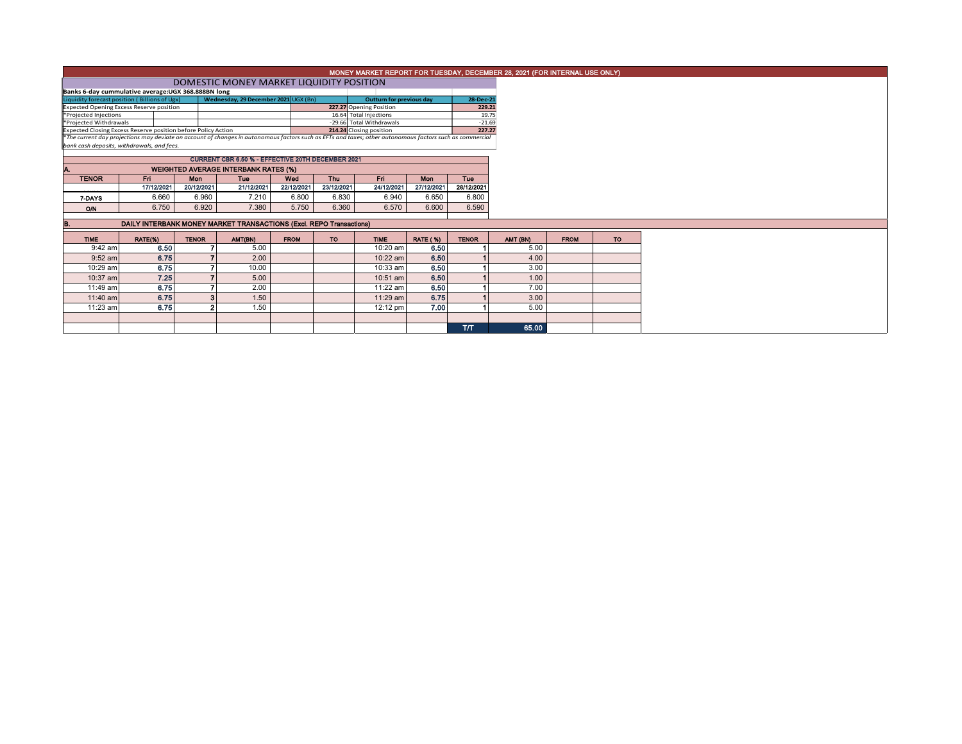|                                                                                                                   |                                                                                                                                                                                                        |      |              |                                                                     |             |                         |                          |                 |              |           |          | MONEY MARKET REPORT FOR TUESDAY, DECEMBER 28, 2021 (FOR INTERNAL USE ONLY) |
|-------------------------------------------------------------------------------------------------------------------|--------------------------------------------------------------------------------------------------------------------------------------------------------------------------------------------------------|------|--------------|---------------------------------------------------------------------|-------------|-------------------------|--------------------------|-----------------|--------------|-----------|----------|----------------------------------------------------------------------------|
|                                                                                                                   |                                                                                                                                                                                                        |      |              |                                                                     |             |                         |                          |                 |              |           |          |                                                                            |
| Banks 6-day cummulative average: UGX 368.888BN long                                                               |                                                                                                                                                                                                        |      |              |                                                                     |             |                         |                          |                 |              |           |          |                                                                            |
| Wednesday, 29 December 2021 UGX (Bn)<br>Liquidity forecast position (Billions of Ugx)<br>Outturn for previous day |                                                                                                                                                                                                        |      |              |                                                                     |             |                         |                          |                 |              | 28-Dec-21 |          |                                                                            |
| <b>Expected Opening Excess Reserve position</b>                                                                   |                                                                                                                                                                                                        |      |              |                                                                     |             | 227.27 Opening Position |                          |                 |              | 229.21    |          |                                                                            |
| *Projected Injections                                                                                             |                                                                                                                                                                                                        |      |              |                                                                     |             |                         | 16.64 Total Injections   |                 | 19.75        |           |          |                                                                            |
| *Projected Withdrawals                                                                                            |                                                                                                                                                                                                        |      |              |                                                                     |             |                         | -29.66 Total Withdrawals |                 | $-21.69$     |           |          |                                                                            |
| Expected Closing Excess Reserve position before Policy Action<br>214.24 Closing position                          |                                                                                                                                                                                                        |      |              |                                                                     |             |                         |                          | 227.27          |              |           |          |                                                                            |
|                                                                                                                   | *The current day projections may deviate on account of changes in autonomous factors such as EFTs and taxes; other autonomous factors such as commercial<br>bank cash deposits, withdrawals, and fees. |      |              |                                                                     |             |                         |                          |                 |              |           |          |                                                                            |
|                                                                                                                   |                                                                                                                                                                                                        |      |              |                                                                     |             |                         |                          |                 |              |           |          |                                                                            |
|                                                                                                                   | CURRENT CBR 6.50 % - EFFECTIVE 20TH DECEMBER 2021                                                                                                                                                      |      |              |                                                                     |             |                         |                          |                 |              |           |          |                                                                            |
|                                                                                                                   | <b>WEIGHTED AVERAGE INTERBANK RATES (%)</b>                                                                                                                                                            |      |              |                                                                     |             |                         |                          |                 |              |           |          |                                                                            |
| <b>TENOR</b>                                                                                                      | Fri                                                                                                                                                                                                    |      | Mon          | Tue                                                                 | Wed         | <b>Thu</b>              | Fri.                     | Mon             | Tue          |           |          |                                                                            |
|                                                                                                                   | 17/12/2021                                                                                                                                                                                             |      | 20/12/2021   | 21/12/2021                                                          | 22/12/2021  | 23/12/2021              | 24/12/2021               | 27/12/2021      | 28/12/2021   |           |          |                                                                            |
| 7-DAYS                                                                                                            | 6.660                                                                                                                                                                                                  |      | 6.960        | 7.210                                                               | 6.800       | 6.830                   | 6.940                    | 6.650           | 6.800        |           |          |                                                                            |
| <b>O/N</b>                                                                                                        | 6.750                                                                                                                                                                                                  |      | 6.920        | 7.380                                                               | 5.750       | 6.360                   | 6.570                    | 6.600           | 6.590        |           |          |                                                                            |
|                                                                                                                   |                                                                                                                                                                                                        |      |              |                                                                     |             |                         |                          |                 |              |           |          |                                                                            |
|                                                                                                                   |                                                                                                                                                                                                        |      |              | DAILY INTERBANK MONEY MARKET TRANSACTIONS (Excl. REPO Transactions) |             |                         |                          |                 |              |           |          |                                                                            |
| <b>TIME</b>                                                                                                       | RATE(%)                                                                                                                                                                                                |      | <b>TENOR</b> | AMT(BN)                                                             | <b>FROM</b> | <b>TO</b>               | <b>TIME</b>              | <b>RATE (%)</b> | <b>TENOR</b> |           | AMT (BN) | <b>FROM</b>                                                                |
| 9:42 am                                                                                                           |                                                                                                                                                                                                        | 6.50 |              | 5.00                                                                |             |                         | 10:20 am                 | 6.50            |              |           | 5.00     |                                                                            |
| $9:52$ am                                                                                                         |                                                                                                                                                                                                        | 6.75 |              | 2.00                                                                |             |                         | 10:22 am                 | 6.50            |              |           | 4.00     |                                                                            |
| 10:29 am                                                                                                          |                                                                                                                                                                                                        | 6.75 |              | 10.00                                                               |             |                         | 10:33 am                 | 6.50            |              |           | 3.00     |                                                                            |
| 10:37 am                                                                                                          |                                                                                                                                                                                                        | 7.25 |              | 5.00                                                                |             |                         | 10:51 am                 | 6.50            |              |           | 1.00     |                                                                            |
| 11:49 am                                                                                                          |                                                                                                                                                                                                        | 6.75 |              | 2.00                                                                |             |                         | 11:22 am                 | 6.50            |              |           | 7.00     |                                                                            |
| $11:40$ am                                                                                                        |                                                                                                                                                                                                        | 6.75 |              | 1.50                                                                |             |                         | 11:29 am                 | 6.75            |              |           | 3.00     |                                                                            |
| 11:23 am                                                                                                          |                                                                                                                                                                                                        | 6.75 |              | 1.50                                                                |             |                         | 12:12 pm                 | 7.00            |              |           | 5.00     |                                                                            |
|                                                                                                                   |                                                                                                                                                                                                        |      |              |                                                                     |             |                         |                          |                 |              |           |          |                                                                            |
|                                                                                                                   |                                                                                                                                                                                                        |      |              |                                                                     |             |                         |                          |                 | T/T          |           | 65.00    |                                                                            |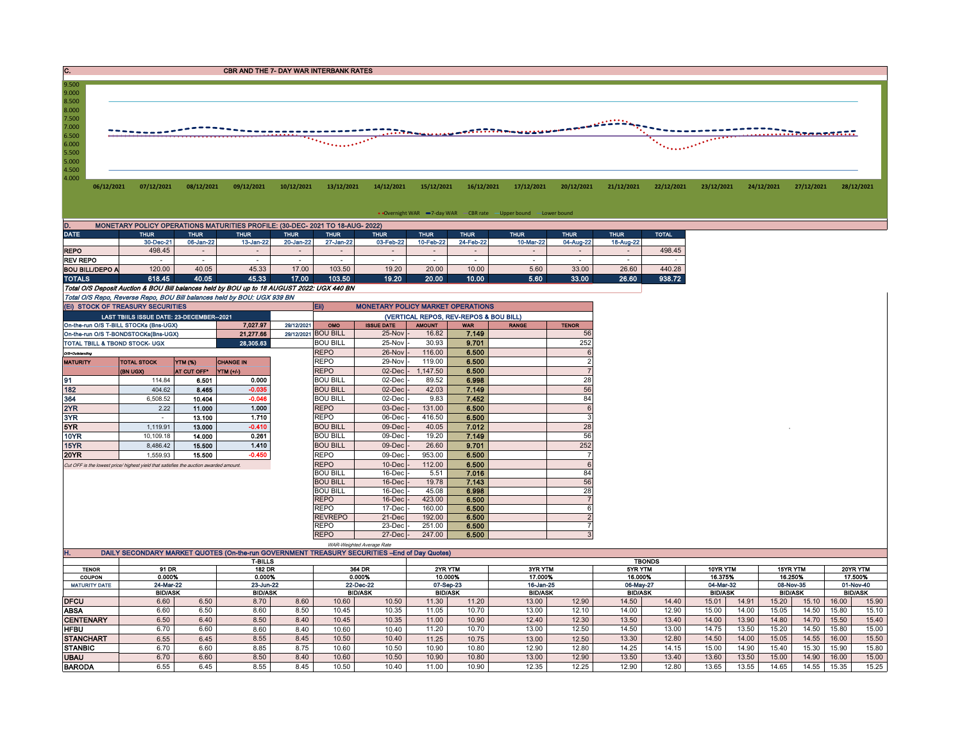C. CREASE CONTROL CONTROL CONTROL CONTROL CONTROL CONTROL CONTROL CONTROL CONTROL CONTROL CONTROL CONTROL CONTROL CONTROL CONTROL CONTROL CONTROL CONTROL CONTROL CONTROL CONTROL CONTROL CONTROL CONTROL CONTROL CONTROL CONT



TOTALS 618.45 40.05 45.33 17.00 103.50 19.20 20.00 10.00 5.60 33.00 26.60 938.72

Total O/S Deposit Auction & BOU Bill balances held by BOU up to 18 AUGUST 2022: UGX 440 BN

Total O/S Repo, Reverse Repo, BOU Bill balances held by BOU: UGX 939 BN

|                                | (EI) STOCK OF TREASURY SECURITIES                                                     |             |                  |                                        | <b>IEID</b><br><b>MONETARY POLICY MARKET OPERATIONS</b> |                   |               |            |              |                |
|--------------------------------|---------------------------------------------------------------------------------------|-------------|------------------|----------------------------------------|---------------------------------------------------------|-------------------|---------------|------------|--------------|----------------|
|                                | LAST TBIILS ISSUE DATE: 23-DECEMBER--2021                                             |             |                  | (VERTICAL REPOS, REV-REPOS & BOU BILL) |                                                         |                   |               |            |              |                |
|                                | On-the-run O/S T-BILL STOCKs (Bns-UGX)                                                |             | 7.027.97         | 29/12/2021                             | OMO                                                     | <b>ISSUE DATE</b> | <b>AMOUNT</b> | <b>WAR</b> | <b>RANGE</b> | <b>TENOR</b>   |
|                                | On-the-run O/S T-BONDSTOCKs(Bns-UGX)                                                  |             | 21,277.66        | 29/12/2021 BOU BILL                    |                                                         | 25-Nov -          | 16.82         | 7.149      |              | 56             |
| TOTAL TBILL & TBOND STOCK- UGX |                                                                                       |             | 28,305.63        |                                        | <b>BOU BILL</b>                                         | 25-Nov -          | 30.93         | 9.701      |              | 252            |
| O/S=Outstanding                |                                                                                       |             |                  | <b>REPO</b>                            |                                                         | 26-Nov -          | 116.00        | 6.500      |              |                |
| <b>MATURITY</b>                | <b>TOTAL STOCK</b><br><b>YTM (%)</b>                                                  |             | <b>CHANGE IN</b> |                                        | <b>REPO</b>                                             | 29-Nov -          | 119.00        | 6,500      |              | $\overline{2}$ |
|                                | (BN UGX)                                                                              | AT CUT OFF* | YTM (+/-)        |                                        | <b>REPO</b>                                             | $02$ -Dec $\cdot$ | 1,147.50      | 6.500      |              | $\overline{ }$ |
| 91                             | 114.84                                                                                | 6.501       | 0.000            |                                        | <b>BOU BILL</b>                                         | 02-Dec            | 89.52         | 6.998      |              | 28             |
| 182                            | 404.62                                                                                | 8.465       | $-0.035$         |                                        | <b>BOU BILL</b>                                         | $02$ -Dec         | 42.03         | 7.149      |              | 56             |
| 364                            | 6,508.52                                                                              | 10.404      | $-0.046$         |                                        | <b>BOU BILL</b>                                         | 02-Dec            | 9.83          | 7.452      |              | 84             |
| 2YR                            | 2.22                                                                                  | 11.000      | 1.000            |                                        | <b>REPO</b>                                             | 03-Dec            | 131.00        | 6.500      |              | 6              |
| 3YR                            | $\sim$                                                                                | 13.100      | 1.710            |                                        | <b>REPO</b>                                             | 06-Dec            | 416.50        | 6.500      |              | 3              |
| 5YR                            | 1.119.91                                                                              | 13.000      | $-0.410$         |                                        | <b>BOU BILL</b>                                         | 09-Dec -          | 40.05         | 7.012      |              | 28             |
| 10YR                           | 10.109.18                                                                             | 14.000      | 0.261            |                                        | <b>BOU BILL</b>                                         | 09-Dec            | 19.20         | 7.149      |              | 56             |
| 15YR                           | 8.486.42                                                                              | 15.500      | 1.410            |                                        | <b>BOU BILL</b>                                         | 09-Dec            | 26.60         | 9.701      |              | 252            |
| <b>20YR</b>                    | 1.559.93                                                                              | 15.500      | $-0.450$         |                                        | <b>REPO</b>                                             | 09-Dec            | 953.00        | 6.500      |              |                |
|                                | Cut OFF is the lowest price/ highest yield that satisfies the auction awarded amount. |             |                  |                                        | <b>REPO</b>                                             | $10$ -Dec         | 112.00        | 6.500      |              | 6              |
|                                |                                                                                       |             |                  |                                        | <b>BOU BILL</b>                                         | $16$ -Dec         | 5.51          | 7.016      |              | 84             |
|                                |                                                                                       |             |                  |                                        | <b>BOU BILL</b>                                         | $16$ -Dec $\cdot$ | 19.78         | 7.143      |              | 56             |
|                                |                                                                                       |             |                  |                                        | <b>BOU BILL</b>                                         | 16-Dec            | 45.08         | 6.998      |              | 28             |
|                                |                                                                                       |             |                  |                                        | <b>REPO</b>                                             | $16$ -Dec $\cdot$ | 423.00        | 6.500      |              | $\overline{ }$ |
|                                |                                                                                       |             |                  |                                        | <b>REPO</b>                                             | 17-Dec            | 160.00        | 6.500      |              | 6              |
|                                |                                                                                       |             |                  |                                        | <b>REVREPO</b>                                          | 21-Dec            | 192.00        | 6.500      |              | $\Omega$       |
|                                |                                                                                       |             |                  |                                        | <b>REPO</b>                                             | 23-Dec            | 251.00        | 6.500      |              |                |
|                                |                                                                                       |             |                  |                                        | <b>REPO</b>                                             | 27-Dec -          | 247.00        | 6.500      |              |                |

REV REPO - - - - - - - - - - - - **BOU BILL/DEPO A**l 120.00 | 40.05 | 45.33 | 17.00 | 10.3.50 | 10.20 | 10.00 | 5.60 | 33.00 | 26.60 | 440.28

|                      | WAR-Weighted Average Rate                                                                      |      |                |           |                |           |                |               |       |                |       |                |       |                |       |                |                |           |  |
|----------------------|------------------------------------------------------------------------------------------------|------|----------------|-----------|----------------|-----------|----------------|---------------|-------|----------------|-------|----------------|-------|----------------|-------|----------------|----------------|-----------|--|
| п.                   | DAILY SECONDARY MARKET QUOTES (On-the-run GOVERNMENT TREASURY SECURITIES -- End of Day Quotes) |      |                |           |                |           |                |               |       |                |       |                |       |                |       |                |                |           |  |
|                      | <b>T-BILLS</b>                                                                                 |      |                |           |                |           |                | <b>TBONDS</b> |       |                |       |                |       |                |       |                |                |           |  |
| <b>TENOR</b>         | 91 DR                                                                                          |      |                | 182 DR    |                | 364 DR    |                | 2YR YTM       |       | 3YR YTM        |       | 5YR YTM        |       | 10YR YTM       |       | 15YR YTM       |                | 20YR YTM  |  |
| <b>COUPON</b>        | 0.000%                                                                                         |      |                | 0.000%    |                | 0.000%    |                | 10.000%       |       | 17.000%        |       | 16.000%        |       | 16.375%        |       | 16.250%        |                | 17.500%   |  |
| <b>MATURITY DATE</b> | 24-Mar-22                                                                                      |      |                | 23-Jun-22 |                | 22-Dec-22 |                | 07-Sep-23     |       | 16-Jan-25      |       | 06-May-27      |       | 04-Mar-32      |       | 08-Nov-35      |                | 01-Nov-40 |  |
|                      | <b>BID/ASK</b>                                                                                 |      | <b>BID/ASK</b> |           | <b>BID/ASK</b> |           | <b>BID/ASK</b> |               |       | <b>BID/ASK</b> |       | <b>BID/ASK</b> |       | <b>BID/ASK</b> |       | <b>BID/ASK</b> | <b>BID/ASK</b> |           |  |
| <b>DFCU</b>          | 6.60                                                                                           | 6.50 | 8.70           | 8.60      | 10.60          | 10.50     | 11.30          | 11.20         | 13.00 | 12.90          | 14.50 | 14.40          | 15.01 | 14.91          | 15.20 | 15.10          | 16.00          | 15.90     |  |
| <b>ABSA</b>          | 6.60                                                                                           | 6.50 | 8.60           | 8.50      | 10.45          | 10.35     | 11.05          | 10.70         | 13.00 | 12.10          | 14.00 | 12.90          | 15.00 | 14.00          | 15.05 | 14.50          | 15.80          | 15.10     |  |
| <b>CENTENARY</b>     | 6.50                                                                                           | 6.40 | 8.50           | 8.40      | 10.45          | 10.35     | 11.00          | 10.90         | 12.40 | 12.30          | 13.50 | 13.40          | 14.00 | 13.90          | 14.80 | 14.70          | 15.50          | 15.40     |  |
| <b>HFBU</b>          | 6.70                                                                                           | 6.60 | 8.60           | 8.40      | 10.60          | 10.40     | 11.20          | 10.70         | 13.00 | 12.50          | 14.50 | 13.00          | 14.75 | 3.50           | 15.20 | 14.50          | 15.80          | 15.00     |  |
| <b>STANCHART</b>     | 6.55                                                                                           | 6.45 | 8.55           | 8.45      | 10.50          | 10.40     | 11.25          | 10.75         | 13.00 | 12.50          | 13.30 | 12.80          | 14.50 | 14.00          | 15.05 | 14.55          | 16.00          | 15.50     |  |
| <b>STANBIC</b>       | 6.70                                                                                           | 6.60 | 8.85           | 8.75      | 10.60          | 10.50     | 10.90          | 10.80         | 12.90 | 12.80          | 14.25 | 14.15          | 15.00 | 14.90          | 15.40 | 15.30          | 15.90          | 15.80     |  |
| <b>UBAU</b>          | 6.70                                                                                           | 6.60 | 8.50           | 8.40      | 10.60          | 10.50     | 10.90          | 10.80         | 13.00 | 12.90          | 13.50 | 13.40          | 13.60 | 13.50          | 15.00 | 14.90          | 16.00          | 15.00     |  |
| <b>BARODA</b>        | 6.55                                                                                           | 6.45 | 8.55           | 8.45      | 10.50          | 10.40     | 11.00          | 10.90         | 12.35 | 12.25          | 12.90 | 12.80          | 13.65 | 13.55          | 14.65 | 14.55          | 15.35          | 15.25     |  |